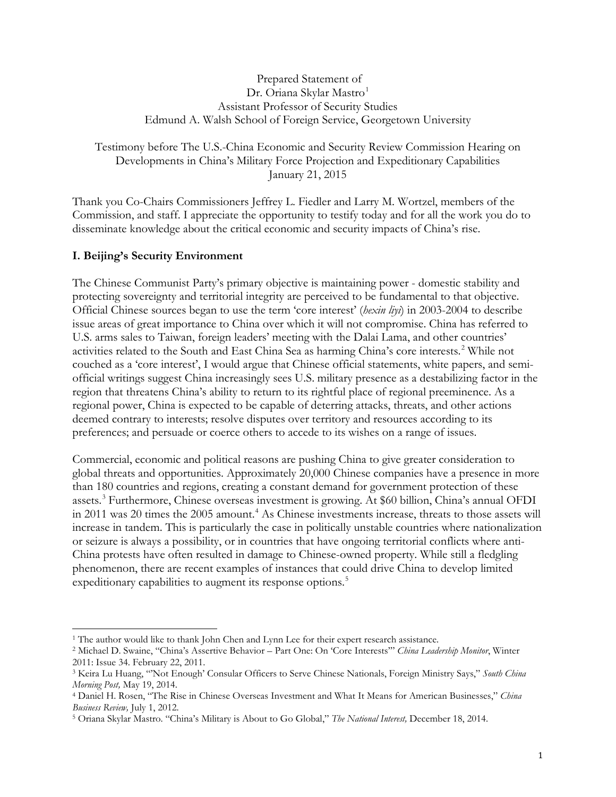#### Prepared Statement of Dr. Oriana Skylar Mastro<sup>[1](#page-0-0)</sup> Assistant Professor of Security Studies Edmund A. Walsh School of Foreign Service, Georgetown University

### Testimony before The U.S.-China Economic and Security Review Commission Hearing on Developments in China's Military Force Projection and Expeditionary Capabilities January 21, 2015

Thank you Co-Chairs Commissioners Jeffrey L. Fiedler and Larry M. Wortzel, members of the Commission, and staff. I appreciate the opportunity to testify today and for all the work you do to disseminate knowledge about the critical economic and security impacts of China's rise.

# **I. Beijing's Security Environment**

The Chinese Communist Party's primary objective is maintaining power - domestic stability and protecting sovereignty and territorial integrity are perceived to be fundamental to that objective. Official Chinese sources began to use the term 'core interest' (*hexin liyi*) in 2003-2004 to describe issue areas of great importance to China over which it will not compromise. China has referred to U.S. arms sales to Taiwan, foreign leaders' meeting with the Dalai Lama, and other countries' activities related to the South and East China Sea as harming China's core interests.<sup>[2](#page-0-1)</sup> While not couched as a 'core interest', I would argue that Chinese official statements, white papers, and semiofficial writings suggest China increasingly sees U.S. military presence as a destabilizing factor in the region that threatens China's ability to return to its rightful place of regional preeminence. As a regional power, China is expected to be capable of deterring attacks, threats, and other actions deemed contrary to interests; resolve disputes over territory and resources according to its preferences; and persuade or coerce others to accede to its wishes on a range of issues.

Commercial, economic and political reasons are pushing China to give greater consideration to global threats and opportunities. Approximately 20,000 Chinese companies have a presence in more than 180 countries and regions, creating a constant demand for government protection of these assets. [3](#page-0-2) Furthermore, Chinese overseas investment is growing. At \$60 billion, China's annual OFDI in 2011 was 20 times the 2005 amount.<sup>[4](#page-0-3)</sup> As Chinese investments increase, threats to those assets will increase in tandem. This is particularly the case in politically unstable countries where nationalization or seizure is always a possibility, or in countries that have ongoing territorial conflicts where anti-China protests have often resulted in damage to Chinese-owned property. While still a fledgling phenomenon, there are recent examples of instances that could drive China to develop limited expeditionary capabilities to augment its response options.<sup>[5](#page-0-4)</sup>

<span id="page-0-0"></span><sup>&</sup>lt;sup>1</sup> The author would like to thank John Chen and Lynn Lee for their expert research assistance.

<span id="page-0-1"></span><sup>2</sup> Michael D. Swaine, "China's Assertive Behavior – Part One: On 'Core Interests'" *China Leadership Monitor*, Winter 2011: Issue 34. February 22, 2011.

<span id="page-0-2"></span><sup>3</sup> Keira Lu Huang, "'Not Enough' Consular Officers to Serve Chinese Nationals, Foreign Ministry Says," *South China Morning Post,* May 19, 2014.

<span id="page-0-3"></span><sup>4</sup> Daniel H. Rosen, "The Rise in Chinese Overseas Investment and What It Means for American Businesses," *China Business Review,* July 1, 2012.

<span id="page-0-4"></span><sup>5</sup> Oriana Skylar Mastro. "China's Military is About to Go Global," *The National Interest,* December 18, 2014.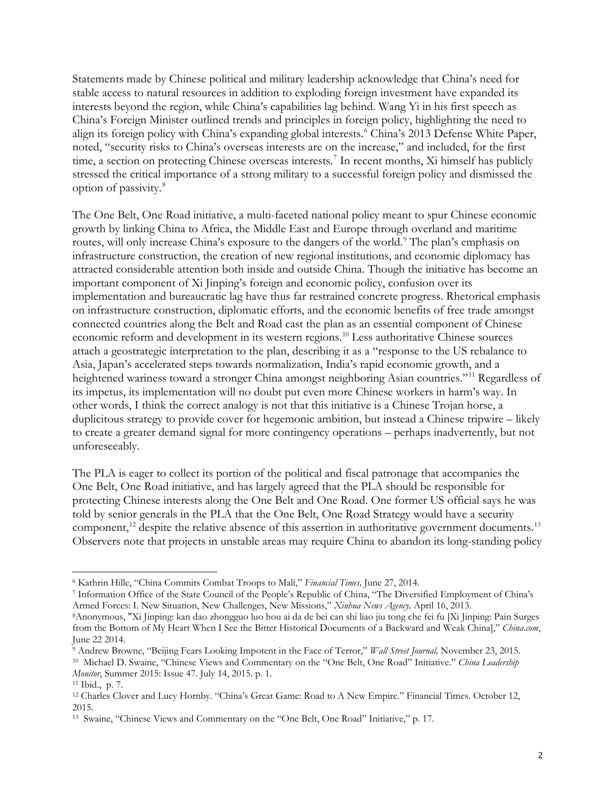Statements made by Chinese political and military leadership acknowledge that China's need for stable access to natural resources in addition to exploding foreign investment have expanded its interests beyond the region, while China's capabilities lag behind. Wang Yi in his first speech as China's Foreign Minister outlined trends and principles in foreign policy, highlighting the need to align its foreign policy with China's expanding global interests.<sup>[6](#page-1-0)</sup> China's 2013 Defense White Paper, noted, "security risks to China's overseas interests are on the increase," and included, for the first time, a section on protecting Chinese overseas interests.<sup>[7](#page-1-1)</sup> In recent months, Xi himself has publicly stressed the critical importance of a strong military to a successful foreign policy and dismissed the option of passivity. [8](#page-1-2)

The One Belt, One Road initiative, a multi-faceted national policy meant to spur Chinese economic growth by linking China to Africa, the Middle East and Europe through overland and maritime routes, will only increase China's exposure to the dangers of the world.<sup>[9](#page-1-3)</sup> The plan's emphasis on infrastructure construction, the creation of new regional institutions, and economic diplomacy has attracted considerable attention both inside and outside China. Though the initiative has become an important component of Xi Jinping's foreign and economic policy, confusion over its implementation and bureaucratic lag have thus far restrained concrete progress. Rhetorical emphasis on infrastructure construction, diplomatic efforts, and the economic benefits of free trade amongst connected countries along the Belt and Road cast the plan as an essential component of Chinese economic reform and development in its western regions.<sup>[10](#page-1-4)</sup> Less authoritative Chinese sources attach a geostrategic interpretation to the plan, describing it as a "response to the US rebalance to Asia, Japan's accelerated steps towards normalization, India's rapid economic growth, and a heightened wariness toward a stronger China amongst neighboring Asian countries."<sup>[11](#page-1-5)</sup> Regardless of its impetus, its implementation will no doubt put even more Chinese workers in harm's way. In other words, I think the correct analogy is not that this initiative is a Chinese Trojan horse, a duplicitous strategy to provide cover for hegemonic ambition, but instead a Chinese tripwire – likely to create a greater demand signal for more contingency operations – perhaps inadvertently, but not unforeseeably.

The PLA is eager to collect its portion of the political and fiscal patronage that accompanies the One Belt, One Road initiative, and has largely agreed that the PLA should be responsible for protecting Chinese interests along the One Belt and One Road. One former US official says he was told by senior generals in the PLA that the One Belt, One Road Strategy would have a security component,<sup>[12](#page-1-6)</sup> despite the relative absence of this assertion in authoritative government documents.<sup>[13](#page-1-7)</sup> Observers note that projects in unstable areas may require China to abandon its long-standing policy

<span id="page-1-1"></span><span id="page-1-0"></span><sup>&</sup>lt;sup>6</sup> Kathrin Hille, "China Commits Combat Troops to Mali," *Financial Times*, June 27, 2014.<br><sup>7</sup> Information Office of the State Council of the People's Republic of China, "The Diversified Employment of China's Armed Forces: I. New Situation, New Challenges, New Missions," *Xinhua News Agency,* April 16, 2013.

<span id="page-1-2"></span><sup>8</sup>Anonymous, "Xi Jinping: kan dao zhongguo luo hou ai da de bei can shi liao jiu tong che fei fu [Xi Jinping: Pain Surges from the Bottom of My Heart When I See the Bitter Historical Documents of a Backward and Weak China]," *China.com*, June 22 2014.

<span id="page-1-4"></span><span id="page-1-3"></span><sup>9</sup> Andrew Browne, "Beijing Fears Looking Impotent in the Face of Terror," *Wall Street Journal,* November 23, 2015. 10 Michael D. Swaine, "Chinese Views and Commentary on the "One Belt, One Road" Initiative." *China Leadership Monitor*, Summer 2015: Issue 47. July 14, 2015. p. 1.

<span id="page-1-6"></span><span id="page-1-5"></span><sup>&</sup>lt;sup>11</sup> Ibid., p. 7.<br><sup>12</sup> Charles Clover and Lucy Hornby. "China's Great Game: Road to A New Empire." Financial Times. October 12, 2015.

<span id="page-1-7"></span><sup>13</sup> Swaine, "Chinese Views and Commentary on the "One Belt, One Road" Initiative," p. 17.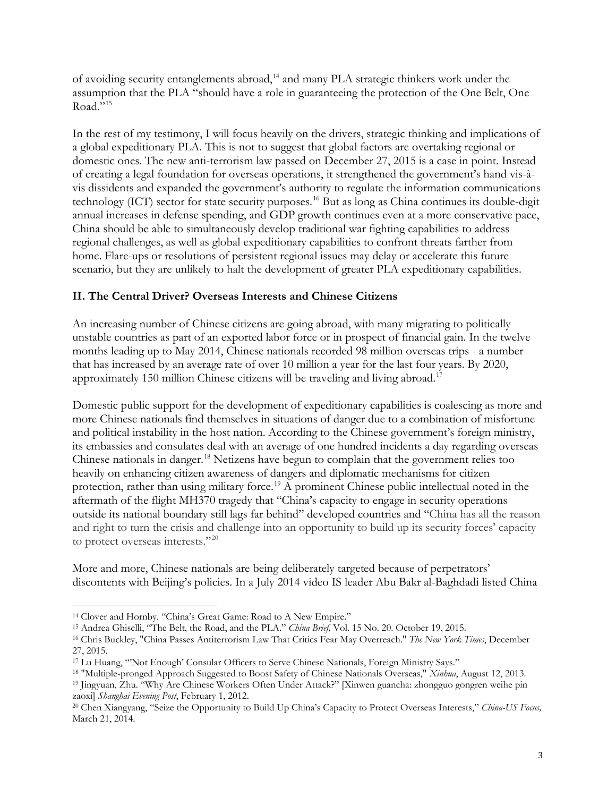of avoiding security entanglements abroad,<sup>[14](#page-2-0)</sup> and many PLA strategic thinkers work under the assumption that the PLA "should have a role in guaranteeing the protection of the One Belt, One Road." $15$ 

In the rest of my testimony, I will focus heavily on the drivers, strategic thinking and implications of a global expeditionary PLA. This is not to suggest that global factors are overtaking regional or domestic ones. The new anti-terrorism law passed on December 27, 2015 is a case in point. Instead of creating a legal foundation for overseas operations, it strengthened the government's hand vis-àvis dissidents and expanded the government's authority to regulate the information communications technology (ICT) sector for state security purposes. [16](#page-2-2) But as long as China continues its double-digit annual increases in defense spending, and GDP growth continues even at a more conservative pace, China should be able to simultaneously develop traditional war fighting capabilities to address regional challenges, as well as global expeditionary capabilities to confront threats farther from home. Flare-ups or resolutions of persistent regional issues may delay or accelerate this future scenario, but they are unlikely to halt the development of greater PLA expeditionary capabilities.

# **II. The Central Driver? Overseas Interests and Chinese Citizens**

An increasing number of Chinese citizens are going abroad, with many migrating to politically unstable countries as part of an exported labor force or in prospect of financial gain. In the twelve months leading up to May 2014, Chinese nationals recorded 98 million overseas trips - a number that has increased by an average rate of over 10 million a year for the last four years. By 2020, approximately 150 million Chinese citizens will be traveling and living abroad.<sup>[17](#page-2-3)</sup>

Domestic public support for the development of expeditionary capabilities is coalescing as more and more Chinese nationals find themselves in situations of danger due to a combination of misfortune and political instability in the host nation. According to the Chinese government's foreign ministry, its embassies and consulates deal with an average of one hundred incidents a day regarding overseas Chinese nationals in danger.<sup>[18](#page-2-4)</sup> Netizens have begun to complain that the government relies too heavily on enhancing citizen awareness of dangers and diplomatic mechanisms for citizen protection, rather than using military force.<sup>[19](#page-2-5)</sup> A prominent Chinese public intellectual noted in the aftermath of the flight MH370 tragedy that "China's capacity to engage in security operations outside its national boundary still lags far behind" developed countries and "China has all the reason and right to turn the crisis and challenge into an opportunity to build up its security forces' capacity to protect overseas interests."[20](#page-2-6)

More and more, Chinese nationals are being deliberately targeted because of perpetrators' discontents with Beijing's policies. In a July 2014 video IS leader Abu Bakr al-Baghdadi [listed](http://foreignpolicy.com/2014/08/11/china-sees-islamic-state-inching-closer-to-home/) China

<span id="page-2-1"></span><span id="page-2-0"></span><sup>14</sup> Clover and Hornby. "China's Great Game: Road to A New Empire."<br><sup>15</sup> Andrea Ghiselli, "The Belt, the Road, and the PLA." *China Brief,* Vol. 15 No. 20. October 19, 2015.

<span id="page-2-2"></span><sup>&</sup>lt;sup>16</sup> Chris Buckley, "China Passes Antiterrorism Law That Critics Fear May Overreach." The New York Times, December 27, 2015.

<span id="page-2-3"></span><sup>17</sup> Lu Huang, "'Not Enough' Consular Officers to Serve Chinese Nationals, Foreign Ministry Says."

<span id="page-2-5"></span><span id="page-2-4"></span><sup>18</sup> "Multiple-pronged Approach Suggested to Boost Safety of Chinese Nationals Overseas," *Xinhua*, August 12, 2013. <sup>19</sup> Jingyuan, Zhu. "Why Are Chinese Workers Often Under Attack?" [Xinwen guancha: zhongguo gongren weihe pin zaoxi] *Shanghai Evening Post*, February 1, 2012.

<span id="page-2-6"></span><sup>20</sup> Chen Xiangyang, "Seize the Opportunity to Build Up China's Capacity to Protect Overseas Interests," *China-US Focus,*  March 21, 2014.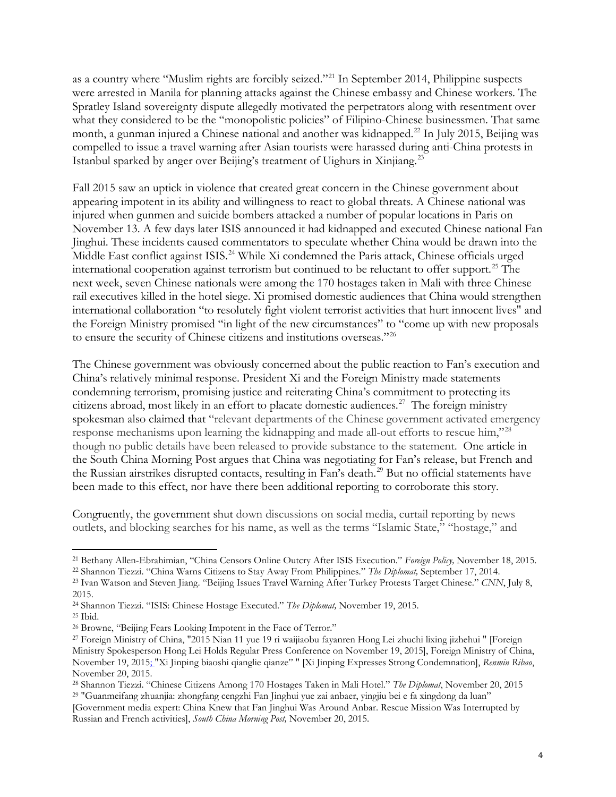as a country where "Muslim rights are forcibly seized."<sup>[21](#page-3-0)</sup> In September 2014, Philippine suspects were arrested in Manila for planning attacks against the Chinese embassy and Chinese workers. The Spratley Island sovereignty dispute allegedly motivated the perpetrators along with resentment over what they considered to be the "monopolistic policies" of Filipino-Chinese businessmen. That same month, a gunman injured a Chinese national and another was kidnapped.<sup>22</sup> In July 2015, Beijing was compelled to issue a travel warning after Asian tourists were harassed during anti-China protests in Istanbul sparked by anger over Beijing's treatment of Uighurs in Xinjiang.[23](#page-3-2)

Fall 2015 saw an uptick in violence that created great concern in the Chinese government about appearing impotent in its ability and willingness to react to global threats. A Chinese national was injured when gunmen and suicide bombers attacked a number of popular locations in Paris on November 13. A few days later ISIS announced it had kidnapped and executed Chinese national Fan Jinghui. These incidents caused commentators to speculate whether China would be drawn into the Middle East conflict against ISIS.<sup>[24](#page-3-3)</sup> While Xi condemned the Paris attack, Chinese officials urged international cooperation against terrorism but continued to be reluctant to offer support.<sup>[25](#page-3-4)</sup> The next week, seven Chinese nationals were among the 170 hostages taken in Mali with three Chinese rail executives killed in the hotel siege. Xi promised domestic audiences that China would strengthen international collaboration "to resolutely fight violent terrorist activities that hurt innocent lives" and the Foreign Ministry promised "in light of the new circumstances" to "come up with new proposals to ensure the security of Chinese citizens and institutions overseas."[26](#page-3-5)

The Chinese government was obviously concerned about the public reaction to Fan's execution and China's relatively minimal response. President Xi and the Foreign Ministry made statements condemning terrorism, promising justice and reiterating China's commitment to protecting its citizens abroad, most likely in an effort to placate domestic audiences. [27](#page-3-6) The foreign ministry spokesman also claimed that "relevant departments of the Chinese government activated emergency response mechanisms upon learning the kidnapping and made all-out efforts to rescue him,"[28](#page-3-7) though no public details have been released to provide substance to the statement. One article in the South China Morning Post argues that China was negotiating for Fan's release, but French and the Russian airstrikes disrupted contacts, resulting in Fan's death.[29](#page-3-8) But no official statements have been made to this effect, nor have there been additional reporting to corroborate this story.

Congruently, the government shut down discussions on social media, curtail reporting by news outlets, and blocking searches for his name, as well as the terms "Islamic State," "hostage," and

<span id="page-3-0"></span><sup>21</sup> Bethany Allen-Ebrahimian, "China Censors Online Outcry After ISIS Execution." *Foreign Policy,* November 18, 2015. <sup>22</sup> Shannon Tiezzi. "China Warns Citizens to Stay Away From Philippines." *The Diplomat,* September 17, 2014.

<span id="page-3-2"></span><span id="page-3-1"></span><sup>23</sup> Ivan Watson and Steven Jiang. "Beijing Issues Travel Warning After Turkey Protests Target Chinese." *CNN*, July 8,

<sup>2015.</sup>

<span id="page-3-3"></span><sup>24</sup> Shannon Tiezzi. "ISIS: Chinese Hostage Executed." *The Diplomat,* November 19, 2015.

<span id="page-3-4"></span><sup>25</sup> Ibid.

<span id="page-3-5"></span><sup>26</sup> Browne, "Beijing Fears Looking Impotent in the Face of Terror."

<span id="page-3-6"></span><sup>27</sup> Foreign Ministry of China, "2015 Nian 11 yue 19 ri waijiaobu fayanren Hong Lei zhuchi lixing jizhehui " [Foreign Ministry Spokesperson Hong Lei Holds Regular Press Conference on November 19, 2015], Foreign Ministry of China, November 19, 2015; "Xi Jinping biaoshi qianglie qianze" " [Xi Jinping Expresses Strong Condemnation], *Renmin Ribao*, November 20, 2015.

<span id="page-3-7"></span><sup>28</sup> Shannon Tiezzi. "Chinese Citizens Among 170 Hostages Taken in Mali Hotel." *The Diplomat*, November 20, 2015 <sup>29</sup> "Guanmeifang zhuanjia: zhongfang cengzhi Fan Jinghui yue zai anbaer, yingjiu bei e fa xingdong da luan"

<span id="page-3-8"></span><sup>[</sup>Government media expert: China Knew that Fan Jinghui Was Around Anbar. Rescue Mission Was Interrupted by Russian and French activities], *South China Morning Post,* November 20, 2015.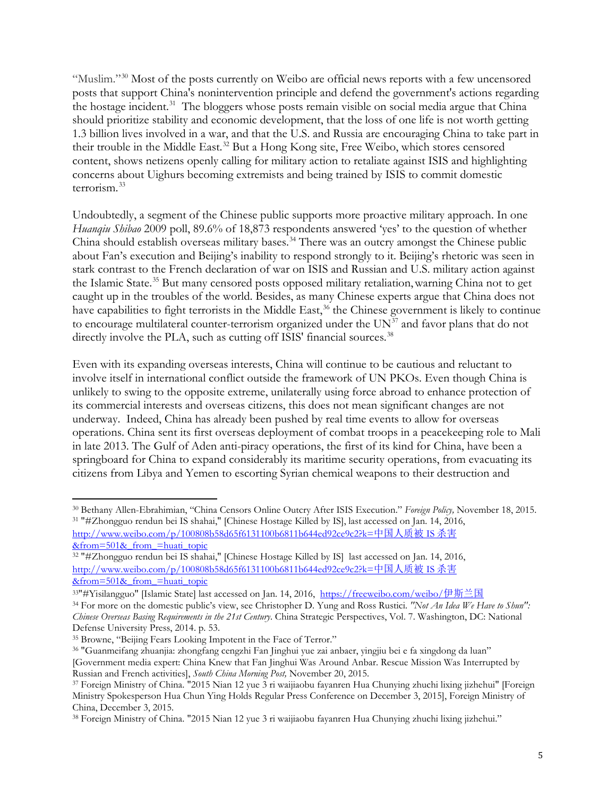"Muslim."[30](#page-4-0) Most of the posts currently on Weibo are official news reports with a few uncensored posts that support China's nonintervention principle and defend the government's actions regarding the hostage incident.<sup>31</sup> The bloggers whose posts remain visible on social media argue that China should prioritize stability and economic development, that the loss of one life is not worth getting 1.3 billion lives involved in a war, and that the U.S. and Russia are encouraging China to take part in their trouble in the Middle East.<sup>[32](#page-4-2)</sup> But a Hong Kong site, Free Weibo, which stores censored content, shows netizens openly calling for military action to retaliate against ISIS and highlighting concerns about Uighurs becoming extremists and being trained by ISIS to commit domestic terrorism.[33](#page-4-3)

Undoubtedly, a segment of the Chinese public supports more proactive military approach. In one *Huanqiu Shibao* 2009 poll, 89.6% of 18,873 respondents answered 'yes' to the question of whether China should establish overseas military bases.<sup>[34](#page-4-4)</sup> There was an outcry amongst the Chinese public about Fan's execution and Beijing's inability to respond strongly to it. Beijing's rhetoric was seen in stark contrast to the French declaration of war on ISIS and Russian and U.S. military action against the Islamic State.[35](#page-4-5) But many censored posts opposed military retaliation,warning China not to get caught up in the troubles of the world. Besides, as many Chinese experts argue that China does not have capabilities to fight terrorists in the Middle East,<sup>[36](#page-4-6)</sup> the Chinese government is likely to continue to encourage multilateral counter-terrorism organized under the  $UN<sup>37</sup>$  $UN<sup>37</sup>$  $UN<sup>37</sup>$  and favor plans that do not directly involve the PLA, such as cutting off ISIS' financial sources.<sup>[38](#page-4-8)</sup>

Even with its expanding overseas interests, China will continue to be cautious and reluctant to involve itself in international conflict outside the framework of UN PKOs. Even though China is unlikely to swing to the opposite extreme, unilaterally using force abroad to enhance protection of its commercial interests and overseas citizens, this does not mean significant changes are not underway. Indeed, China has already been pushed by real time events to allow for overseas operations. China sent its first overseas deployment of combat troops in a peacekeeping role to Mali in late 2013. The Gulf of Aden anti-piracy operations, the first of its kind for China, have been a springboard for China to expand considerably its maritime security operations, from evacuating its citizens from Libya and Yemen to escorting Syrian chemical weapons to their destruction and

<span id="page-4-1"></span><span id="page-4-0"></span><sup>30</sup> Bethany Allen-Ebrahimian, "China Censors Online Outcry After ISIS Execution." *Foreign Policy,* November 18, 2015. <sup>31</sup> "#Zhongguo rendun bei IS shahai," [Chinese Hostage Killed by IS], last accessed on Jan. 14, 2016, [http://www.weibo.com/p/100808b58d65f6131100b6811b644ed92ce9c2?k=](http://www.weibo.com/p/100808b58d65f6131100b6811b644ed92ce9c2?k=%E4%B8%AD%E5%9B%BD%E4%BA%BA%E8%B4%A8%E8%A2%ABIS%E6%9D%80%E5%AE%B3&from=501&_from_=huati_topic)中国人质被 IS 杀害  $&$  from = huati topic

<span id="page-4-2"></span><sup>32</sup> "#Zhongguo rendun bei IS shahai," [Chinese Hostage Killed by IS] last accessed on Jan. 14, 2016, [http://www.weibo.com/p/100808b58d65f6131100b6811b644ed92ce9c2?k=](http://www.weibo.com/p/100808b58d65f6131100b6811b644ed92ce9c2?k=%E4%B8%AD%E5%9B%BD%E4%BA%BA%E8%B4%A8%E8%A2%ABIS%E6%9D%80%E5%AE%B3&from=501&_from_=huati_topic)中国人质被 IS 杀害  $&$ from= $\overline{501}&$  from =huati\_topic

<span id="page-4-3"></span><sup>33&</sup>quot;#Yisilangguo" [Islamic State] last accessed on Jan. 14, 2016, [https://freeweibo.com/weibo/](https://freeweibo.com/weibo/%E4%BC%8A%E6%96%AF%E5%85%B0%E5%9B%BD)伊斯兰国

<span id="page-4-4"></span><sup>34</sup> For more on the domestic public's view, see Christopher D. Yung and Ross Rustici. *"Not An Idea We Have to Shun": Chinese Overseas Basing Requirements in the 21st Century*. China Strategic Perspectives, Vol. 7. Washington, DC: National Defense University Press, 2014. p. 53.

<span id="page-4-5"></span><sup>35</sup> Browne, "Beijing Fears Looking Impotent in the Face of Terror."

<span id="page-4-6"></span><sup>36</sup> "Guanmeifang zhuanjia: zhongfang cengzhi Fan Jinghui yue zai anbaer, yingjiu bei e fa xingdong da luan" [Government media expert: China Knew that Fan Jinghui Was Around Anbar. Rescue Mission Was Interrupted by Russian and French activities], *South China Morning Post,* November 20, 2015.

<span id="page-4-7"></span><sup>&</sup>lt;sup>37</sup> Foreign Ministry of China. "2015 Nian 12 yue 3 ri waijiaobu fayanren Hua Chunying zhuchi lixing jizhehui" [Foreign Ministry Spokesperson Hua Chun Ying Holds Regular Press Conference on December 3, 2015], Foreign Ministry of China, December 3, 2015.

<span id="page-4-8"></span><sup>38</sup> Foreign Ministry of China. "2015 Nian 12 yue 3 ri waijiaobu fayanren Hua Chunying zhuchi lixing jizhehui."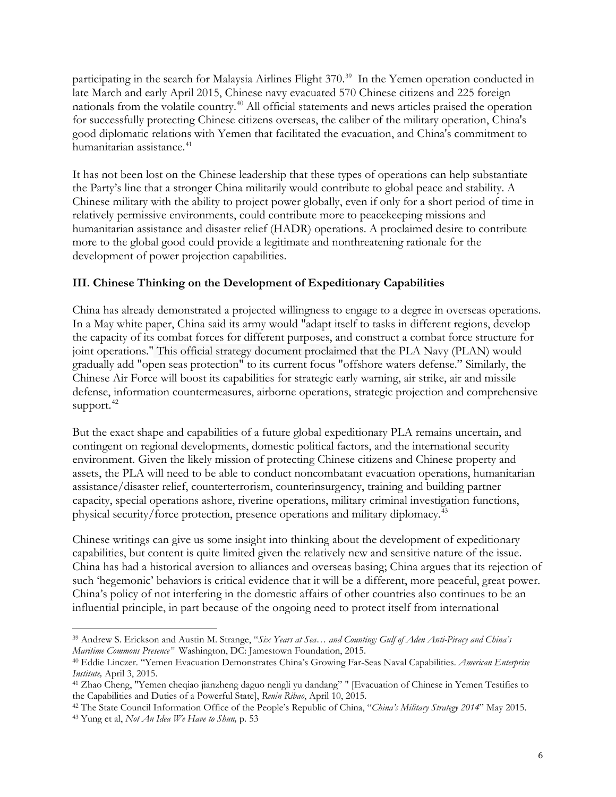participating in the search for Malaysia Airlines Flight 370.<sup>[39](#page-5-0)</sup> In the Yemen operation conducted in late March and early April 2015, Chinese navy evacuated 570 Chinese citizens and 225 foreign nationals from the volatile country.[40](#page-5-1) All official statements and news articles praised the operation for successfully protecting Chinese citizens overseas, the caliber of the military operation, China's good diplomatic relations with Yemen that facilitated the evacuation, and China's commitment to humanitarian assistance.<sup>[41](#page-5-2)</sup>

It has not been lost on the Chinese leadership that these types of operations can help substantiate the Party's line that a stronger China militarily would contribute to global peace and stability. A Chinese military with the ability to project power globally, even if only for a short period of time in relatively permissive environments, could contribute more to peacekeeping missions and humanitarian assistance and disaster relief (HADR) operations. A proclaimed desire to contribute more to the global good could provide a legitimate and nonthreatening rationale for the development of power projection capabilities.

# **III. Chinese Thinking on the Development of Expeditionary Capabilities**

China has already demonstrated a projected willingness to engage to a degree in overseas operations. In a May [white paper,](http://news.usni.org/2015/05/26/document-chinas-military-strategy) China said its army would "adapt itself to tasks in different regions, develop the capacity of its combat forces for different purposes, and construct a combat force structure for joint operations." This official strategy document proclaimed that the PLA Navy (PLAN) would gradually add "open seas protection" to its current focus "offshore waters defense." Similarly, the Chinese Air Force will boost its capabilities for strategic early warning, air strike, air and missile defense, information countermeasures, airborne operations, strategic projection and comprehensive support. $42$ 

But the exact shape and capabilities of a future global expeditionary PLA remains uncertain, and contingent on regional developments, domestic political factors, and the international security environment. Given the likely mission of protecting Chinese citizens and Chinese property and assets, the PLA will need to be able to conduct noncombatant evacuation operations, humanitarian assistance/disaster relief, counterterrorism, counterinsurgency, training and building partner capacity, special operations ashore, riverine operations, military criminal investigation functions, physical security/force protection, presence operations and military diplomacy.[43](#page-5-4)

Chinese writings can give us some insight into thinking about the development of expeditionary capabilities, but content is quite limited given the relatively new and sensitive nature of the issue. China has had a historical aversion to alliances and overseas basing; China argues that its rejection of such 'hegemonic' behaviors is critical evidence that it will be a different, more peaceful, great power. China's policy of not interfering in the domestic affairs of other countries also continues to be an influential principle, in part because of the ongoing need to protect itself from international

<span id="page-5-0"></span><sup>39</sup> Andrew S. Erickson and Austin M. Strange, "*Six Years at Sea… and Counting: Gulf of Aden [Anti-Piracy](http://www.amazon.com/China-Gulf-Aden-Andrew-Erickson/dp/0985504501/ref=la_B001JP451A_1_1?s=books&ie=UTF8&qid=1423762463&sr=1-1) and China's Maritime [Commons](http://www.amazon.com/China-Gulf-Aden-Andrew-Erickson/dp/0985504501/ref=la_B001JP451A_1_1?s=books&ie=UTF8&qid=1423762463&sr=1-1) Presence"* Washington, DC: Jamestown [Foundation,](http://www.jamestown.org/programs/chinabrief/single/?tx_ttnews%5Btt_news%5D=44181&tx_ttnews%5BbackPid%5D=25&cHash=9730f8b6d0d3eb2ad5b99ad6418b5ccb) 2015.

<span id="page-5-1"></span><sup>40</sup> Eddie Linczer. "Yemen Evacuation Demonstrates China's Growing Far-Seas Naval Capabilities. *American Enterprise Institute,* April 3, 2015.

<span id="page-5-2"></span><sup>41</sup> Zhao Cheng, "Yemen cheqiao jianzheng daguo nengli yu dandang" " [Evacuation of Chinese in Yemen Testifies to the Capabilities and Duties of a Powerful State], *Renin Ribao*, April 10, 2015.

<span id="page-5-4"></span><span id="page-5-3"></span><sup>42</sup> The State Council Information Office of the People's Republic of China, "*China's Military Strategy 2014*" May 2015. <sup>43</sup> Yung et al, *Not An Idea We Have to Shun,* p. 53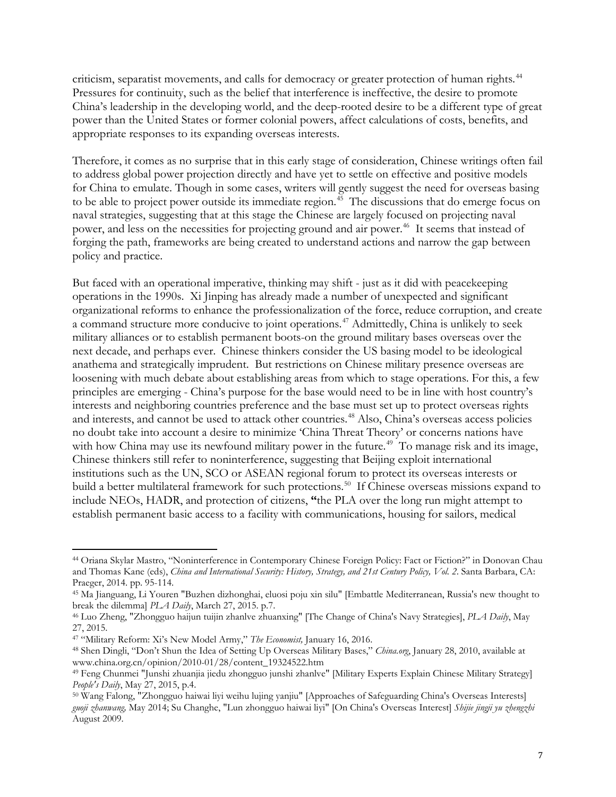criticism, separatist movements, and calls for democracy or greater protection of human rights.<sup>[44](#page-6-0)</sup> Pressures for continuity, such as the belief that interference is ineffective, the desire to promote China's leadership in the developing world, and the deep-rooted desire to be a different type of great power than the United States or former colonial powers, affect calculations of costs, benefits, and appropriate responses to its expanding overseas interests.

Therefore, it comes as no surprise that in this early stage of consideration, Chinese writings often fail to address global power projection directly and have yet to settle on effective and positive models for China to emulate. Though in some cases, writers will gently suggest the need for overseas basing to be able to project power outside its immediate region.<sup>[45](#page-6-1)</sup> The discussions that do emerge focus on naval strategies, suggesting that at this stage the Chinese are largely focused on projecting naval power, and less on the necessities for projecting ground and air power.<sup>[46](#page-6-2)</sup> It seems that instead of forging the path, frameworks are being created to understand actions and narrow the gap between policy and practice.

But faced with an operational imperative, thinking may shift - just as it did with peacekeeping operations in the 1990s. Xi Jinping has already made a number of unexpected and significant organizational reforms to enhance the professionalization of the force, reduce corruption, and create a command structure more conducive to joint operations.<sup>[47](#page-6-3)</sup> Admittedly, China is unlikely to seek military alliances or to establish permanent boots-on the ground military bases overseas over the next decade, and perhaps ever. Chinese thinkers consider the US basing model to be ideological anathema and strategically imprudent. But restrictions on Chinese military presence overseas are loosening with much debate about establishing areas from which to stage operations. For this, a few principles are emerging - China's purpose for the base would need to be in line with host country's interests and neighboring countries preference and the base must set up to protect overseas rights and interests, and cannot be used to attack other countries.<sup>[48](#page-6-4)</sup> Also, China's overseas access policies no doubt take into account a desire to minimize 'China Threat Theory' or concerns nations have with how China may use its newfound military power in the future.<sup>49</sup> To manage risk and its image, Chinese thinkers still refer to noninterference, suggesting that Beijing exploit international institutions such as the UN, SCO or ASEAN regional forum to protect its overseas interests or build a better multilateral framework for such protections.<sup>50</sup> If Chinese overseas missions expand to include NEOs, HADR, and protection of citizens, **"**the PLA over the long run might attempt to establish permanent basic access to a facility with communications, housing for sailors, medical

<span id="page-6-0"></span><sup>44</sup> Oriana Skylar Mastro, "Noninterference in Contemporary Chinese Foreign Policy: Fact or Fiction?" in Donovan Chau and Thomas Kane (eds), *China and International Security: History, Strategy, and 21st Century Policy, Vol. 2*. Santa Barbara, CA: Praeger, 2014. pp. 95-114.

<span id="page-6-1"></span><sup>45</sup> Ma Jianguang, Li Youren "Buzhen dizhonghai, eluosi poju xin silu" [Embattle Mediterranean, Russia's new thought to break the dilemma] *PLA Daily*, March 27, 2015. p.7.

<span id="page-6-2"></span><sup>46</sup> Luo Zheng, "Zhongguo haijun tuijin zhanlve zhuanxing" [The Change of China's Navy Strategies], *PLA Daily*, May 27, 2015.<br><sup>47</sup> "Military Reform: Xi's New Model Army," The Economist, January 16, 2016.

<span id="page-6-3"></span>

<span id="page-6-4"></span><sup>&</sup>lt;sup>48</sup> Shen Dingli, "Don't Shun the Idea of Setting Up Overseas Military Bases," *China.org*, January 28, 2010, available at www.china.org.cn/opinion/2010-01/28/content\_19324522.htm<br><sup>49</sup> Feng Chunmei "Junshi zhuanjia jiedu zhongguo junshi zhanlve" [Military Experts Explain Chinese Military Strategy]

<span id="page-6-5"></span>*People's Daily*, May 27, 2015, p.4.

<span id="page-6-6"></span><sup>50</sup> Wang Falong, "Zhongguo haiwai liyi weihu lujing yanjiu" [Approaches of Safeguarding China's Overseas Interests] *guoji zhanwang,* May 2014; Su Changhe, "Lun zhongguo haiwai liyi" [On China's Overseas Interest] *Shijie jingji yu zhengzhi*  August 2009.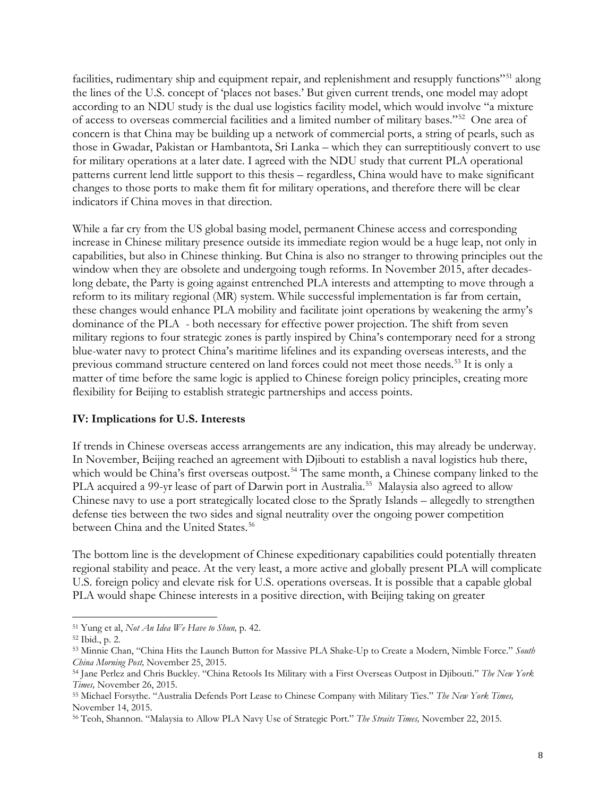facilities, rudimentary ship and equipment repair, and replenishment and resupply functions"<sup>[51](#page-7-0)</sup> along the lines of the U.S. concept of 'places not bases.' But given current trends, one model may adopt according to an NDU study is the dual use logistics facility model, which would involve "a mixture of access to overseas commercial facilities and a limited number of military bases."[52](#page-7-1) One area of concern is that China may be building up a network of commercial ports, a string of pearls, such as those in Gwadar, Pakistan or Hambantota, Sri Lanka – which they can surreptitiously convert to use for military operations at a later date. I agreed with the NDU study that current PLA operational patterns current lend little support to this thesis – regardless, China would have to make significant changes to those ports to make them fit for military operations, and therefore there will be clear indicators if China moves in that direction.

While a far cry from the US global basing model, permanent Chinese access and corresponding increase in Chinese military presence outside its immediate region would be a huge leap, not only in capabilities, but also in Chinese thinking. But China is also no stranger to throwing principles out the window when they are obsolete and undergoing tough reforms. In November 2015, after decadeslong debate, the Party is going against entrenched PLA interests and attempting to move through a reform to its military regional (MR) system. While successful implementation is far from certain, these changes would enhance PLA mobility and facilitate joint operations by weakening the army's dominance of the PLA - both necessary for effective power projection. The shift from seven military regions to four strategic zones is partly inspired by China's contemporary need for a strong blue-water navy to protect China's maritime lifelines and its expanding overseas interests, and the previous command structure centered on land forces could not meet those needs.<sup>[53](#page-7-2)</sup> It is only a matter of time before the same logic is applied to Chinese foreign policy principles, creating more flexibility for Beijing to establish strategic partnerships and access points.

#### **IV: Implications for U.S. Interests**

If trends in Chinese overseas access arrangements are any indication, this may already be underway. In November, Beijing reached an agreement with Djibouti to establish a naval logistics hub there, which would be China's first overseas outpost.<sup>[54](#page-7-3)</sup> The same month, a Chinese company linked to the PLA acquired a 99-yr lease of part of Darwin port in Australia.<sup>55</sup> Malaysia also agreed to allow Chinese navy to use a port strategically located close to the Spratly Islands – allegedly to strengthen defense ties between the two sides and signal neutrality over the ongoing power competition between China and the United States.<sup>[56](#page-7-5)</sup>

The bottom line is the development of Chinese expeditionary capabilities could potentially threaten regional stability and peace. At the very least, a more active and globally present PLA will complicate U.S. foreign policy and elevate risk for U.S. operations overseas. It is possible that a capable global PLA would shape Chinese interests in a positive direction, with Beijing taking on greater

<span id="page-7-0"></span><sup>51</sup> Yung et al, *Not An Idea We Have to Shun,* p. 42.

<span id="page-7-1"></span><sup>52</sup> Ibid., p. 2.

<span id="page-7-2"></span><sup>53</sup> Minnie Chan, "China Hits the Launch Button for Massive PLA Shake-Up to Create a Modern, Nimble Force." *South China Morning Post,* November 25, 2015.

<span id="page-7-3"></span><sup>54</sup> Jane Perlez and Chris Buckley. "China Retools Its Military with a First Overseas Outpost in Djibouti." *The New York Times,* November 26, 2015.

<span id="page-7-4"></span><sup>55</sup> Michael Forsythe. "Australia Defends Port Lease to Chinese Company with Military Ties." *The New York Times,*  November 14, 2015.

<span id="page-7-5"></span><sup>56</sup> Teoh, Shannon. "Malaysia to Allow PLA Navy Use of Strategic Port." *The Straits Times,* November 22, 2015.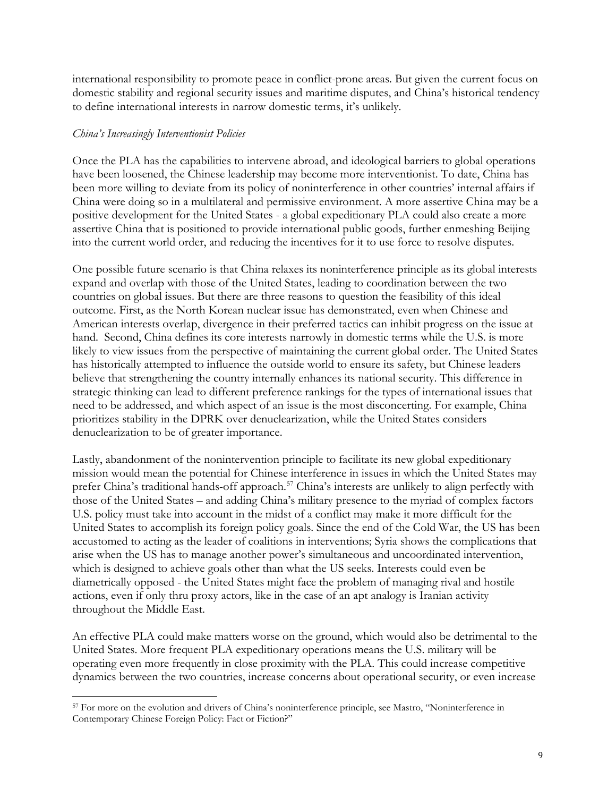international responsibility to promote peace in conflict-prone areas. But given the current focus on domestic stability and regional security issues and maritime disputes, and China's historical tendency to define international interests in narrow domestic terms, it's unlikely.

#### *China's Increasingly Interventionist Policies*

Once the PLA has the capabilities to intervene abroad, and ideological barriers to global operations have been loosened, the Chinese leadership may become more interventionist. To date, China has been more willing to deviate from its policy of noninterference in other countries' internal affairs if China were doing so in a multilateral and permissive environment. A more assertive China may be a positive development for the United States - a global expeditionary PLA could also create a more assertive China that is positioned to provide international public goods, further enmeshing Beijing into the current world order, and reducing the incentives for it to use force to resolve disputes.

One possible future scenario is that China relaxes its noninterference principle as its global interests expand and overlap with those of the United States, leading to coordination between the two countries on global issues. But there are three reasons to question the feasibility of this ideal outcome. First, as the North Korean nuclear issue has demonstrated, even when Chinese and American interests overlap, divergence in their preferred tactics can inhibit progress on the issue at hand. Second, China defines its core interests narrowly in domestic terms while the U.S. is more likely to view issues from the perspective of maintaining the current global order. The United States has historically attempted to influence the outside world to ensure its safety, but Chinese leaders believe that strengthening the country internally enhances its national security. This difference in strategic thinking can lead to different preference rankings for the types of international issues that need to be addressed, and which aspect of an issue is the most disconcerting. For example, China prioritizes stability in the DPRK over denuclearization, while the United States considers denuclearization to be of greater importance.

Lastly, abandonment of the nonintervention principle to facilitate its new global expeditionary mission would mean the potential for Chinese interference in issues in which the United States may prefer China's traditional hands-off approach.<sup>[57](#page-8-0)</sup> China's interests are unlikely to align perfectly with those of the United States – and adding China's military presence to the myriad of complex factors U.S. policy must take into account in the midst of a conflict may make it more difficult for the United States to accomplish its foreign policy goals. Since the end of the Cold War, the US has been accustomed to acting as the leader of coalitions in interventions; Syria shows the complications that arise when the US has to manage another power's simultaneous and uncoordinated intervention, which is designed to achieve goals other than what the US seeks. Interests could even be diametrically opposed - the United States might face the problem of managing rival and hostile actions, even if only thru proxy actors, like in the case of an apt analogy is Iranian activity throughout the Middle East.

An effective PLA could make matters worse on the ground, which would also be detrimental to the United States. More frequent PLA expeditionary operations means the U.S. military will be operating even more frequently in close proximity with the PLA. This could increase competitive dynamics between the two countries, increase concerns about operational security, or even increase

<span id="page-8-0"></span><sup>57</sup> For more on the evolution and drivers of China's noninterference principle, see Mastro, "Noninterference in Contemporary Chinese Foreign Policy: Fact or Fiction?"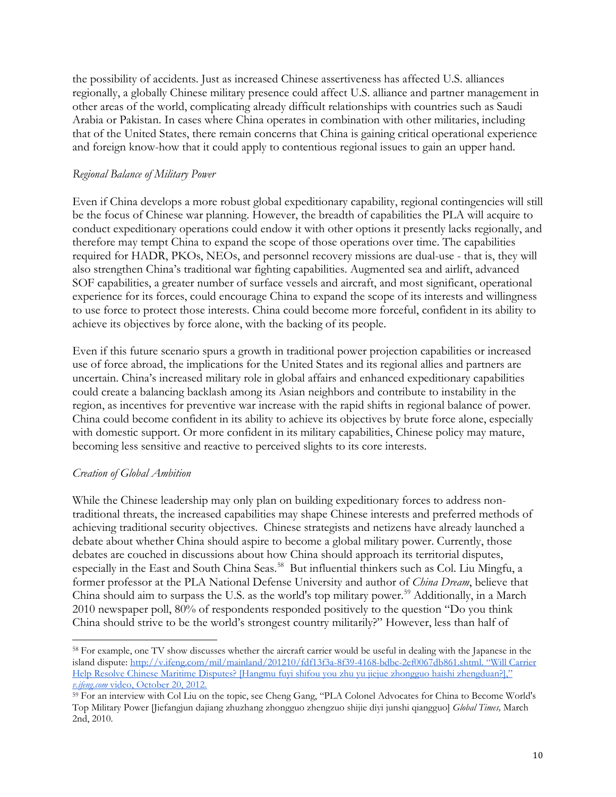the possibility of accidents. Just as increased Chinese assertiveness has affected U.S. alliances regionally, a globally Chinese military presence could affect U.S. alliance and partner management in other areas of the world, complicating already difficult relationships with countries such as Saudi Arabia or Pakistan. In cases where China operates in combination with other militaries, including that of the United States, there remain concerns that China is gaining critical operational experience and foreign know-how that it could apply to contentious regional issues to gain an upper hand.

### *Regional Balance of Military Power*

Even if China develops a more robust global expeditionary capability, regional contingencies will still be the focus of Chinese war planning. However, the breadth of capabilities the PLA will acquire to conduct expeditionary operations could endow it with other options it presently lacks regionally, and therefore may tempt China to expand the scope of those operations over time. The capabilities required for HADR, PKOs, NEOs, and personnel recovery missions are dual-use - that is, they will also strengthen China's traditional war fighting capabilities. Augmented sea and airlift, advanced SOF capabilities, a greater number of surface vessels and aircraft, and most significant, operational experience for its forces, could encourage China to expand the scope of its interests and willingness to use force to protect those interests. China could become more forceful, confident in its ability to achieve its objectives by force alone, with the backing of its people.

Even if this future scenario spurs a growth in traditional power projection capabilities or increased use of force abroad, the implications for the United States and its regional allies and partners are uncertain. China's increased military role in global affairs and enhanced expeditionary capabilities could create a balancing backlash among its Asian neighbors and contribute to instability in the region, as incentives for preventive war increase with the rapid shifts in regional balance of power. China could become confident in its ability to achieve its objectives by brute force alone, especially with domestic support. Or more confident in its military capabilities, Chinese policy may mature, becoming less sensitive and reactive to perceived slights to its core interests.

# *Creation of Global Ambition*

While the Chinese leadership may only plan on building expeditionary forces to address nontraditional threats, the increased capabilities may shape Chinese interests and preferred methods of achieving traditional security objectives. Chinese strategists and netizens have already launched a debate about whether China should aspire to become a global military power. Currently, those debates are couched in discussions about how China should approach its territorial disputes, especially in the East and South China Seas.<sup>[58](#page-9-0)</sup> But influential thinkers such as Col. Liu Mingfu, a former professor at the PLA National Defense University and author of *China Dream*, believe that China should aim to surpass the U.S. as the world's top military power.<sup>[59](#page-9-1)</sup> Additionally, in a March 2010 newspaper poll, 80% of respondents responded positively to the question "Do you think China should strive to be the world's strongest country militarily?" However, less than half of

<span id="page-9-0"></span><sup>58</sup> For example, one TV show discusses whether the aircraft carrier would be useful in dealing with the Japanese in the island dispute: [http://v.ifeng.com/mil/mainland/201210/fdf13f3a-8f39-4168-bdbc-2ef0067db861.shtml.](http://v.ifeng.com/mil/mainland/201210/fdf13f3a-8f39-4168-bdbc-2ef0067db861.shtml) "Will Carrier Help Resolve Chinese Maritime Disputes? [Hangmu fuyi shifou you zhu yu jiejue zhongguo haishi zhengduan?],"<br>v.ifeng.com video, October 20, 2012.

<span id="page-9-1"></span><sup>&</sup>lt;sup>59</sup> For an interview with Col Liu on the topic, see Cheng Gang, "PLA Colonel Advocates for China to Become World's Top Military Power [Jiefangjun dajiang zhuzhang zhongguo zhengzuo shijie diyi junshi qiangguo] *Global Times,* March 2nd, 2010.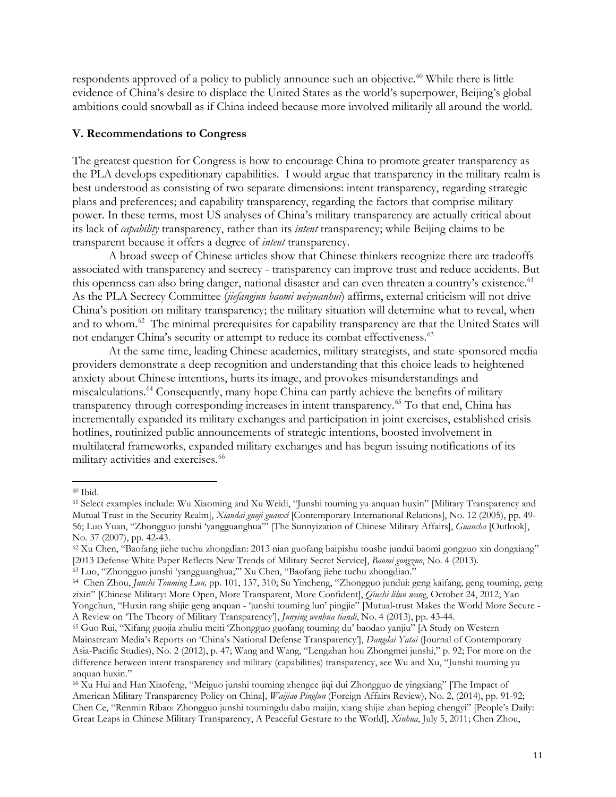respondents approved of a policy to publicly announce such an objective.<sup>[60](#page-10-0)</sup> While there is little evidence of China's desire to displace the United States as the world's superpower, Beijing's global ambitions could snowball as if China indeed because more involved militarily all around the world.

#### **V. Recommendations to Congress**

The greatest question for Congress is how to encourage China to promote greater transparency as the PLA develops expeditionary capabilities. I would argue that transparency in the military realm is best understood as consisting of two separate dimensions: intent transparency, regarding strategic plans and preferences; and capability transparency, regarding the factors that comprise military power. In these terms, most US analyses of China's military transparency are actually critical about its lack of *capability* transparency, rather than its *intent* transparency; while Beijing claims to be transparent because it offers a degree of *intent* transparency.

A broad sweep of Chinese articles show that Chinese thinkers recognize there are tradeoffs associated with transparency and secrecy - transparency can improve trust and reduce accidents. But this openness can also bring danger, national disaster and can even threaten a country's existence.<sup>[61](#page-10-1)</sup> As the PLA Secrecy Committee (*jiefangjun baomi weiyuanhui*) affirms, external criticism will not drive China's position on military transparency; the military situation will determine what to reveal, when and to whom.<sup>62</sup> The minimal prerequisites for capability transparency are that the United States will not endanger China's security or attempt to reduce its combat effectiveness.<sup>[63](#page-10-3)</sup>

At the same time, leading Chinese academics, military strategists, and state-sponsored media providers demonstrate a deep recognition and understanding that this choice leads to heightened anxiety about Chinese intentions, hurts its image, and provokes misunderstandings and miscalculations.<sup>[64](#page-10-4)</sup> Consequently, many hope China can partly achieve the benefits of military transparency through corresponding increases in intent transparency.<sup>[65](#page-10-5)</sup> To that end, China has incrementally expanded its military exchanges and participation in joint exercises, established crisis hotlines, routinized public announcements of strategic intentions, boosted involvement in multilateral frameworks, expanded military exchanges and has begun issuing notifications of its military activities and exercises.<sup>[66](#page-10-6)</sup>

<span id="page-10-0"></span><sup>60</sup> Ibid.

<span id="page-10-1"></span><sup>61</sup> Select examples include: Wu Xiaoming and Xu Weidi, "Junshi touming yu anquan huxin" [Military Transparency and Mutual Trust in the Security Realm], *Xiandai guoji guanxi* [Contemporary International Relations], No. 12 (2005), pp. 49- 56; Luo Yuan, "Zhongguo junshi 'yangguanghua'" [The Sunnyization of Chinese Military Affairs], *Guancha* [Outlook], No. 37 (2007), pp. 42-43.

<span id="page-10-2"></span><sup>62</sup> Xu Chen, "Baofang jiehe tuchu zhongdian: 2013 nian guofang baipishu toushe jundui baomi gongzuo xin dongxiang" [2013 Defense White Paper Reflects New Trends of Military Secret Service], *Baomi gongzuo*, No. 4 (2013).

<span id="page-10-3"></span><sup>63</sup> Luo, "Zhongguo junshi 'yangguanghua;'" Xu Chen, "Baofang jiehe tuchu zhongdian."

<span id="page-10-4"></span><sup>64</sup> Chen Zhou, *Junshi Touming Lun,* pp. 101, 137, 310; Su Yincheng, "Zhongguo jundui: geng kaifang, geng touming, geng zixin" [Chinese Military: More Open, More Transparent, More Confident], *Qiushi lilun wang*, October 24, 2012; Yan Yongchun, "Huxin rang shijie geng anquan - 'junshi touming lun' pingjie" [Mutual-trust Makes the World More Secure - A Review on 'The Theory of Military Transparency'], *Junying wenhua tiandi*, No. 4 (2013), pp. 43-44.

<span id="page-10-5"></span><sup>65</sup> Guo Rui, "Xifang guojia zhuliu meiti 'Zhongguo guofang touming du' baodao yanjiu" [A Study on Western Mainstream Media's Reports on 'China's National Defense Transparency'], *Dangdai Yatai* (Journal of Contemporary Asia-Pacific Studies), No. 2 (2012), p. 47; Wang and Wang, "Lengzhan hou Zhongmei junshi," p. 92; For more on the difference between intent transparency and military (capabilities) transparency, see Wu and Xu, "Junshi touming yu anquan huxin."

<span id="page-10-6"></span><sup>66</sup> Xu Hui and Han Xiaofeng, "Meiguo junshi touming zhengce jiqi dui Zhongguo de yingxiang" [The Impact of American Military Transparency Policy on China], *Waijiao Pinglun* (Foreign Affairs Review), No. 2, (2014), pp. 91-92; Chen Ce, "Renmin Ribao: Zhongguo junshi toumingdu dabu maijin, xiang shijie zhan heping chengyi" [People's Daily: Great Leaps in Chinese Military Transparency, A Peaceful Gesture to the World], *Xinhua*, July 5, 2011; Chen Zhou,